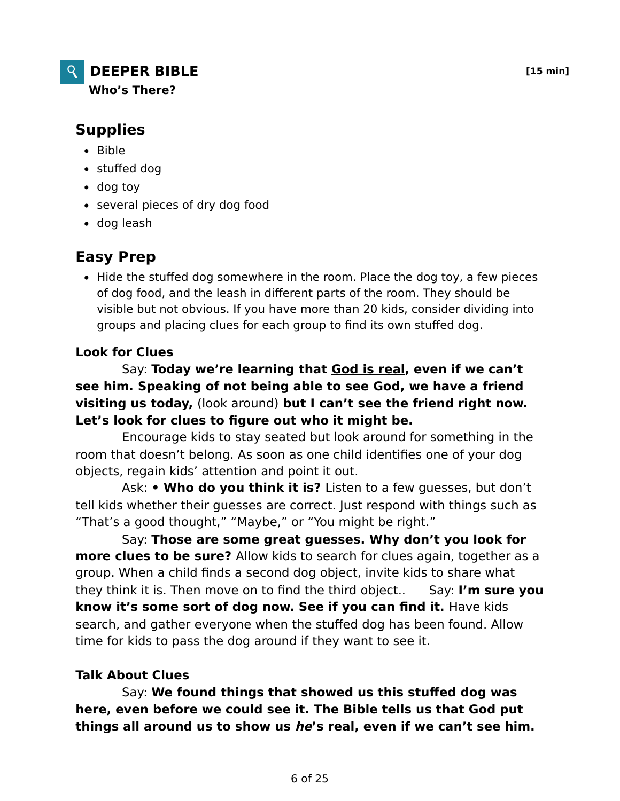

## **Supplies**

- $-Bible$
- stuffed dog
- dog toy
- several pieces of dry dog food
- dog leash

# **Easy Prep**

• Hide the stuffed dog somewhere in the room. Place the dog toy, a few pieces of dog food, and the leash in different parts of the room. They should be visible but not obvious. If you have more than 20 kids, consider dividing into groups and placing clues for each group to find its own stuffed dog.

## **Look for Clues**

 Say: **Today we're learning that God is real, even if we can't see him. Speaking of not being able to see God, we have a friend visiting us today,** (look around) **but I can't see the friend right now. Let's look for clues to figure out who it might be.**

 Encourage kids to stay seated but look around for something in the room that doesn't belong. As soon as one child identifies one of your dog objects, regain kids' attention and point it out.

 Ask: **• Who do you think it is?** Listen to a few guesses, but don't tell kids whether their guesses are correct. Just respond with things such as "That's a good thought," "Maybe," or "You might be right."

 Say: **Those are some great guesses. Why don't you look for more clues to be sure?** Allow kids to search for clues again, together as a group. When a child finds a second dog object, invite kids to share what they think it is. Then move on to find the third object.. Say: **I'm sure you know it's some sort of dog now. See if you can find it.** Have kids search, and gather everyone when the stuffed dog has been found. Allow time for kids to pass the dog around if they want to see it.

### **Talk About Clues**

 Say: **We found things that showed us this stuffed dog was here, even before we could see it. The Bible tells us that God put things all around us to show us he's real, even if we can't see him.**